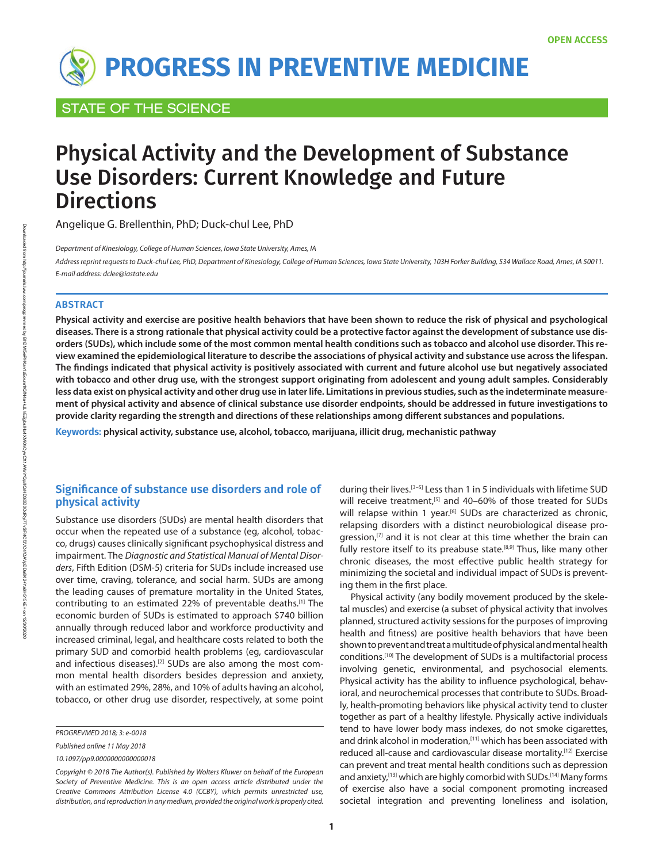# **PROGRESS IN PREVENTIVE MEDICINE**

# STATE OF THE SCIENCE

# Physical Activity and the Development of Substance Use Disorders: Current Knowledge and Future **Directions**

Angelique G. Brellenthin, PhD; Duck-chul Lee, PhD

*Department of Kinesiology, College of Human Sciences, Iowa State University, Ames, IA*

*Address reprint requests to Duck-chul Lee, PhD, Department of Kinesiology, College of Human Sciences, Iowa State University, 103H Forker Building, 534 Wallace Road, Ames, IA 50011. E-mail address: [dclee@iastate.edu](mailto:dclee@iastate.edu)*

# **ABSTRACT**

**Physical activity and exercise are positive health behaviors that have been shown to reduce the risk of physical and psychological diseases. There is a strong rationale that physical activity could be a protective factor against the development of substance use disorders (SUDs), which include some of the most common mental health conditions such as tobacco and alcohol use disorder. This review examined the epidemiological literature to describe the associations of physical activity and substance use across the lifespan. The findings indicated that physical activity is positively associated with current and future alcohol use but negatively associated with tobacco and other drug use, with the strongest support originating from adolescent and young adult samples. Considerably less data exist on physical activity and other drug use in later life. Limitations in previous studies, such as the indeterminate measurement of physical activity and absence of clinical substance use disorder endpoints, should be addressed in future investigations to provide clarity regarding the strength and directions of these relationships among different substances and populations.**

**Keywords: physical activity, substance use, alcohol, tobacco, marijuana, illicit drug, mechanistic pathway**

# **Significance of substance use disorders and role of physical activity**

Substance use disorders (SUDs) are mental health disorders that occur when the repeated use of a substance (eg, alcohol, tobacco, drugs) causes clinically significant psychophysical distress and impairment. The *Diagnostic and Statistical Manual of Mental Disorders*, Fifth Edition (DSM-5) criteria for SUDs include increased use over time, craving, tolerance, and social harm. SUDs are among the leading causes of premature mortality in the United States, contributing to an estimated 22% of preventable deaths.[1] The economic burden of SUDs is estimated to approach \$740 billion annually through reduced labor and workforce productivity and increased criminal, legal, and healthcare costs related to both the primary SUD and comorbid health problems (eg, cardiovascular and infectious diseases).<sup>[2]</sup> SUDs are also among the most common mental health disorders besides depression and anxiety, with an estimated 29%, 28%, and 10% of adults having an alcohol, tobacco, or other drug use disorder, respectively, at some point

during their lives.[3–5] Less than 1 in 5 individuals with lifetime SUD will receive treatment,<sup>[5]</sup> and 40–60% of those treated for SUDs will relapse within 1 year.<sup>[6]</sup> SUDs are characterized as chronic, relapsing disorders with a distinct neurobiological disease progression, $[7]$  and it is not clear at this time whether the brain can fully restore itself to its preabuse state.<sup>[8,9]</sup> Thus, like many other chronic diseases, the most effective public health strategy for minimizing the societal and individual impact of SUDs is preventing them in the first place.

Physical activity (any bodily movement produced by the skeletal muscles) and exercise (a subset of physical activity that involves planned, structured activity sessions for the purposes of improving health and fitness) are positive health behaviors that have been shown to prevent and treat a multitude of physical and mental health conditions.[10] The development of SUDs is a multifactorial process involving genetic, environmental, and psychosocial elements. Physical activity has the ability to influence psychological, behavioral, and neurochemical processes that contribute to SUDs. Broadly, health-promoting behaviors like physical activity tend to cluster together as part of a healthy lifestyle. Physically active individuals tend to have lower body mass indexes, do not smoke cigarettes, and drink alcohol in moderation,<sup>[11]</sup> which has been associated with reduced all-cause and cardiovascular disease mortality.[12] Exercise can prevent and treat mental health conditions such as depression and anxiety,<sup>[13]</sup> which are highly comorbid with SUDs.<sup>[14]</sup> Many forms of exercise also have a social component promoting increased societal integration and preventing loneliness and isolation,

*PROGREVMED 2018; 3: e-0018*

*Published online 11 May 2018*

*<sup>10.1097/</sup>pp9.0000000000000018*

*Copyright © 2018 The Author(s). Published by Wolters Kluwer on behalf of the European Society of Preventive Medicine. This is an open access article distributed under the [Creative Commons Attribution License 4.0 \(CCBY\),](http://creativecommons.org/licenses/by/4.0/) which permits unrestricted use, distribution, and reproduction in any medium, provided the original work is properly cited.*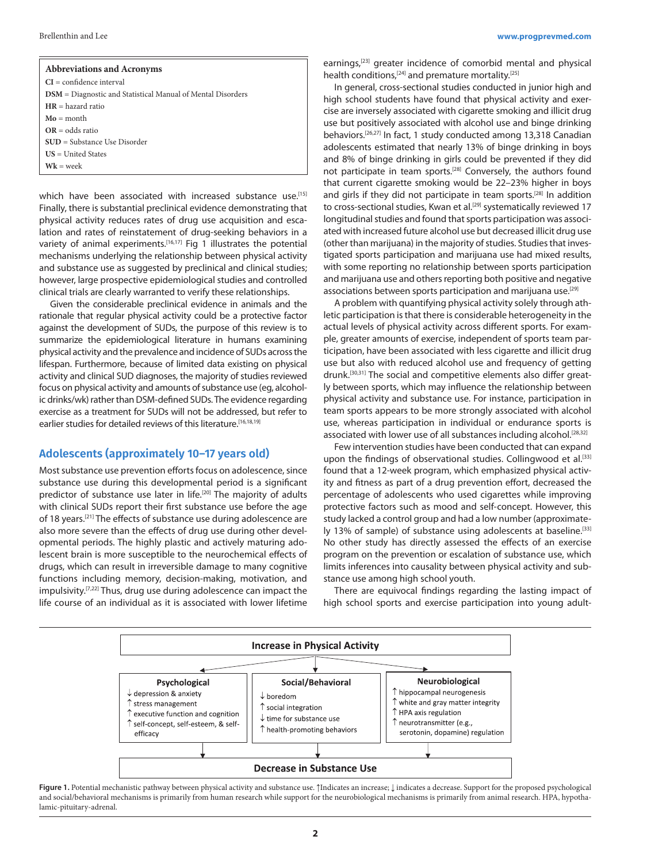#### **Abbreviations and Acronyms**

**CI** = confidence interval **DSM** = Diagnostic and Statistical Manual of Mental Disorders **HR** = hazard ratio  $Mo = month$ **OR** = odds ratio **SUD** = Substance Use Disorder **US** = United States **Wk** = week

which have been associated with increased substance use.[15] Finally, there is substantial preclinical evidence demonstrating that physical activity reduces rates of drug use acquisition and escalation and rates of reinstatement of drug-seeking behaviors in a variety of animal experiments.[16,17] Fig 1 illustrates the potential mechanisms underlying the relationship between physical activity and substance use as suggested by preclinical and clinical studies; however, large prospective epidemiological studies and controlled clinical trials are clearly warranted to verify these relationships.

Given the considerable preclinical evidence in animals and the rationale that regular physical activity could be a protective factor against the development of SUDs, the purpose of this review is to summarize the epidemiological literature in humans examining physical activity and the prevalence and incidence of SUDs across the lifespan. Furthermore, because of limited data existing on physical activity and clinical SUD diagnoses, the majority of studies reviewed focus on physical activity and amounts of substance use (eg, alcoholic drinks/wk) rather than DSM-defined SUDs. The evidence regarding exercise as a treatment for SUDs will not be addressed, but refer to earlier studies for detailed reviews of this literature.<sup>[16,18,19]</sup>

# **Adolescents (approximately 10–17 years old)**

Most substance use prevention efforts focus on adolescence, since substance use during this developmental period is a significant predictor of substance use later in life.<sup>[20]</sup> The majority of adults with clinical SUDs report their first substance use before the age of 18 years.[21] The effects of substance use during adolescence are also more severe than the effects of drug use during other developmental periods. The highly plastic and actively maturing adolescent brain is more susceptible to the neurochemical effects of drugs, which can result in irreversible damage to many cognitive functions including memory, decision-making, motivation, and impulsivity.<sup>[7,22]</sup> Thus, drug use during adolescence can impact the life course of an individual as it is associated with lower lifetime earnings,<sup>[23]</sup> greater incidence of comorbid mental and physical health conditions,<sup>[24]</sup> and premature mortality.<sup>[25]</sup>

In general, cross-sectional studies conducted in junior high and high school students have found that physical activity and exercise are inversely associated with cigarette smoking and illicit drug use but positively associated with alcohol use and binge drinking behaviors.[26,27] In fact, 1 study conducted among 13,318 Canadian adolescents estimated that nearly 13% of binge drinking in boys and 8% of binge drinking in girls could be prevented if they did not participate in team sports.<sup>[28]</sup> Conversely, the authors found that current cigarette smoking would be 22–23% higher in boys and girls if they did not participate in team sports.<sup>[28]</sup> In addition to cross-sectional studies, Kwan et al.<sup>[29]</sup> systematically reviewed 17 longitudinal studies and found that sports participation was associated with increased future alcohol use but decreased illicit drug use (other than marijuana) in the majority of studies. Studies that investigated sports participation and marijuana use had mixed results, with some reporting no relationship between sports participation and marijuana use and others reporting both positive and negative associations between sports participation and marijuana use.<sup>[29]</sup>

A problem with quantifying physical activity solely through athletic participation is that there is considerable heterogeneity in the actual levels of physical activity across different sports. For example, greater amounts of exercise, independent of sports team participation, have been associated with less cigarette and illicit drug use but also with reduced alcohol use and frequency of getting drunk.[30,31] The social and competitive elements also differ greatly between sports, which may influence the relationship between physical activity and substance use. For instance, participation in team sports appears to be more strongly associated with alcohol use, whereas participation in individual or endurance sports is associated with lower use of all substances including alcohol.<sup>[28,32]</sup>

Few intervention studies have been conducted that can expand upon the findings of observational studies. Collingwood et al.<sup>[33]</sup> found that a 12-week program, which emphasized physical activity and fitness as part of a drug prevention effort, decreased the percentage of adolescents who used cigarettes while improving protective factors such as mood and self-concept. However, this study lacked a control group and had a low number (approximately 13% of sample) of substance using adolescents at baseline.<sup>[33]</sup> No other study has directly assessed the effects of an exercise program on the prevention or escalation of substance use, which limits inferences into causality between physical activity and substance use among high school youth.

There are equivocal findings regarding the lasting impact of high school sports and exercise participation into young adult-



**Figure 1.** Potential mechanistic pathway between physical activity and substance use. ↑Indicates an increase; ↓ indicates a decrease. Support for the proposed psychological and social/behavioral mechanisms is primarily from human research while support for the neurobiological mechanisms is primarily from animal research. HPA, hypothalamic-pituitary-adrenal.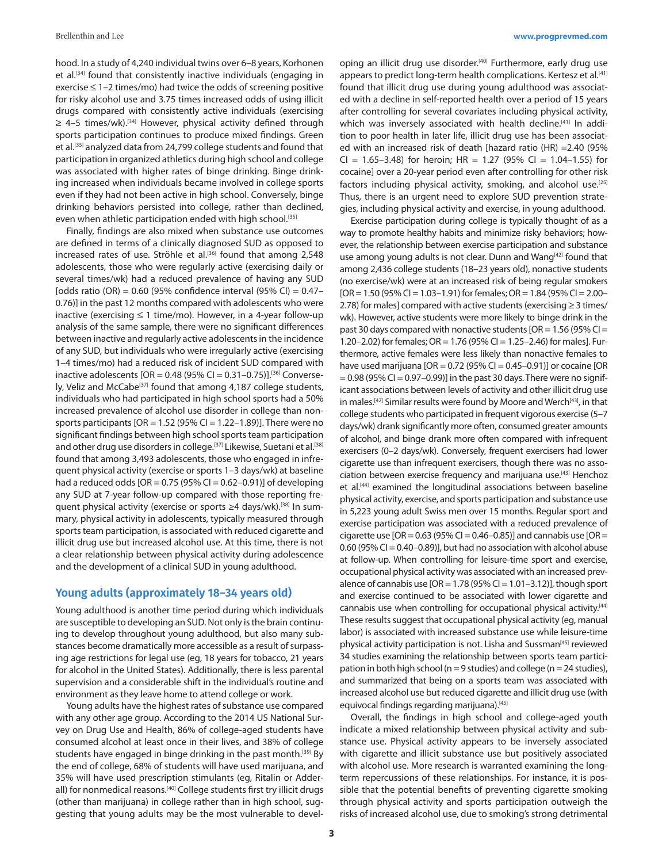hood. In a study of 4,240 individual twins over 6–8 years, Korhonen et al.<sup>[34]</sup> found that consistently inactive individuals (engaging in exercise ≤ 1–2 times/mo) had twice the odds of screening positive for risky alcohol use and 3.75 times increased odds of using illicit drugs compared with consistently active individuals (exercising  $\geq$  4–5 times/wk).<sup>[34]</sup> However, physical activity defined through sports participation continues to produce mixed findings. Green et al.<sup>[35]</sup> analyzed data from 24,799 college students and found that participation in organized athletics during high school and college was associated with higher rates of binge drinking. Binge drinking increased when individuals became involved in college sports even if they had not been active in high school. Conversely, binge drinking behaviors persisted into college, rather than declined, even when athletic participation ended with high school.<sup>[35]</sup>

Finally, findings are also mixed when substance use outcomes are defined in terms of a clinically diagnosed SUD as opposed to increased rates of use. Ströhle et al.<sup>[36]</sup> found that among 2,548 adolescents, those who were regularly active (exercising daily or several times/wk) had a reduced prevalence of having any SUD [odds ratio (OR) =  $0.60$  (95% confidence interval (95% CI) =  $0.47-$ 0.76)] in the past 12 months compared with adolescents who were inactive (exercising  $\leq 1$  time/mo). However, in a 4-year follow-up analysis of the same sample, there were no significant differences between inactive and regularly active adolescents in the incidence of any SUD, but individuals who were irregularly active (exercising 1–4 times/mo) had a reduced risk of incident SUD compared with inactive adolescents  $[OR = 0.48 (95\% CI = 0.31-0.75)]$ .<sup>[36]</sup> Conversely, Veliz and McCabe<sup>[37]</sup> found that among 4,187 college students, individuals who had participated in high school sports had a 50% increased prevalence of alcohol use disorder in college than nonsports participants  $[OR = 1.52 (95\% CI = 1.22-1.89)].$  There were no significant findings between high school sports team participation and other drug use disorders in college.<sup>[37]</sup> Likewise, Suetani et al.<sup>[38]</sup> found that among 3,493 adolescents, those who engaged in infrequent physical activity (exercise or sports 1–3 days/wk) at baseline had a reduced odds  $[OR = 0.75 (95\% CI = 0.62-0.91)]$  of developing any SUD at 7-year follow-up compared with those reporting frequent physical activity (exercise or sports ≥4 days/wk).[38] In summary, physical activity in adolescents, typically measured through sports team participation, is associated with reduced cigarette and illicit drug use but increased alcohol use. At this time, there is not a clear relationship between physical activity during adolescence and the development of a clinical SUD in young adulthood.

# **Young adults (approximately 18–34 years old)**

Young adulthood is another time period during which individuals are susceptible to developing an SUD. Not only is the brain continuing to develop throughout young adulthood, but also many substances become dramatically more accessible as a result of surpassing age restrictions for legal use (eg, 18 years for tobacco, 21 years for alcohol in the United States). Additionally, there is less parental supervision and a considerable shift in the individual's routine and environment as they leave home to attend college or work.

Young adults have the highest rates of substance use compared with any other age group. According to the 2014 US National Survey on Drug Use and Health, 86% of college-aged students have consumed alcohol at least once in their lives, and 38% of college students have engaged in binge drinking in the past month.<sup>[39]</sup> By the end of college, 68% of students will have used marijuana, and 35% will have used prescription stimulants (eg, Ritalin or Adderall) for nonmedical reasons.<sup>[40]</sup> College students first try illicit drugs (other than marijuana) in college rather than in high school, suggesting that young adults may be the most vulnerable to developing an illicit drug use disorder.[40] Furthermore, early drug use appears to predict long-term health complications. Kertesz et al.<sup>[41]</sup> found that illicit drug use during young adulthood was associated with a decline in self-reported health over a period of 15 years after controlling for several covariates including physical activity, which was inversely associated with health decline.<sup>[41]</sup> In addition to poor health in later life, illicit drug use has been associated with an increased risk of death [hazard ratio (HR) =2.40 (95% CI =  $1.65-3.48$ ) for heroin; HR =  $1.27$  (95% CI =  $1.04-1.55$ ) for cocaine] over a 20-year period even after controlling for other risk factors including physical activity, smoking, and alcohol use.[25] Thus, there is an urgent need to explore SUD prevention strategies, including physical activity and exercise, in young adulthood.

Exercise participation during college is typically thought of as a way to promote healthy habits and minimize risky behaviors; however, the relationship between exercise participation and substance use among young adults is not clear. Dunn and Wang<sup>[42]</sup> found that among 2,436 college students (18–23 years old), nonactive students (no exercise/wk) were at an increased risk of being regular smokers  $[OR = 1.50 (95\% CI = 1.03-1.91)$  for females;  $OR = 1.84 (95\% CI = 2.00-1.01)$ 2.78) for males] compared with active students (exercising ≥ 3 times/ wk). However, active students were more likely to binge drink in the past 30 days compared with nonactive students [OR =  $1.56$  (95% CI = 1.20–2.02) for females; OR = 1.76 (95% CI = 1.25–2.46) for males]. Furthermore, active females were less likely than nonactive females to have used marijuana [OR =  $0.72$  (95% CI =  $0.45-0.91$ ] or cocaine [OR  $= 0.98$  (95% CI = 0.97-0.99)] in the past 30 days. There were no significant associations between levels of activity and other illicit drug use in males.<sup>[42]</sup> Similar results were found by Moore and Werch<sup>[43]</sup>, in that college students who participated in frequent vigorous exercise (5–7 days/wk) drank significantly more often, consumed greater amounts of alcohol, and binge drank more often compared with infrequent exercisers (0–2 days/wk). Conversely, frequent exercisers had lower cigarette use than infrequent exercisers, though there was no association between exercise frequency and marijuana use.[43] Henchoz et al.<sup>[44]</sup> examined the longitudinal associations between baseline physical activity, exercise, and sports participation and substance use in 5,223 young adult Swiss men over 15 months. Regular sport and exercise participation was associated with a reduced prevalence of cigarette use  $OR = 0.63$  (95% CI = 0.46–0.85)] and cannabis use  $OR =$ 0.60 (95% CI =  $0.40-0.89$ )], but had no association with alcohol abuse at follow-up. When controlling for leisure-time sport and exercise, occupational physical activity was associated with an increased prevalence of cannabis use  $[OR = 1.78 (95\% CI = 1.01-3.12)]$ , though sport and exercise continued to be associated with lower cigarette and cannabis use when controlling for occupational physical activity.<sup>[44]</sup> These results suggest that occupational physical activity (eg, manual labor) is associated with increased substance use while leisure-time physical activity participation is not. Lisha and Sussman<sup>[45]</sup> reviewed 34 studies examining the relationship between sports team participation in both high school ( $n = 9$  studies) and college ( $n = 24$  studies), and summarized that being on a sports team was associated with increased alcohol use but reduced cigarette and illicit drug use (with equivocal findings regarding marijuana).[45]

Overall, the findings in high school and college-aged youth indicate a mixed relationship between physical activity and substance use. Physical activity appears to be inversely associated with cigarette and illicit substance use but positively associated with alcohol use. More research is warranted examining the longterm repercussions of these relationships. For instance, it is possible that the potential benefits of preventing cigarette smoking through physical activity and sports participation outweigh the risks of increased alcohol use, due to smoking's strong detrimental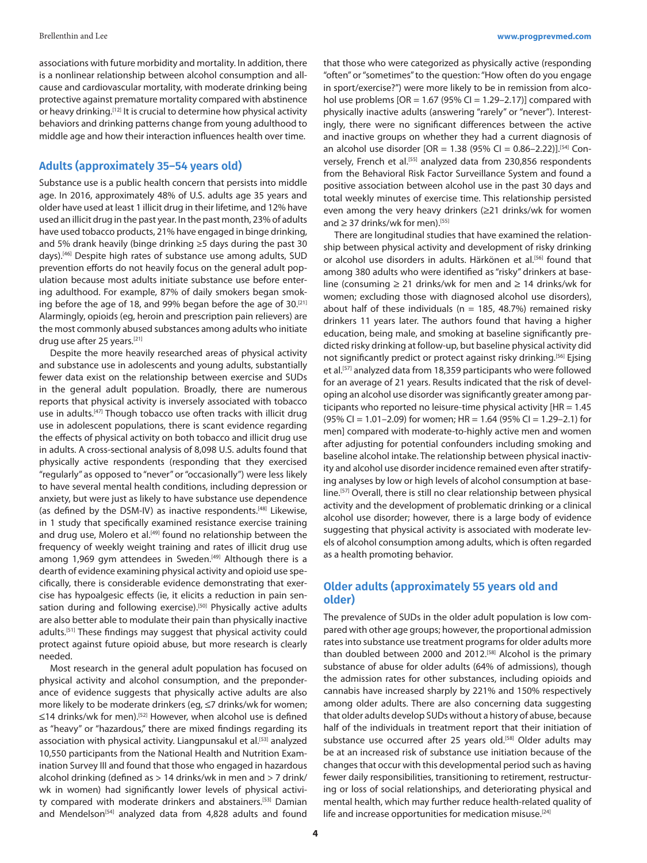associations with future morbidity and mortality. In addition, there is a nonlinear relationship between alcohol consumption and allcause and cardiovascular mortality, with moderate drinking being protective against premature mortality compared with abstinence or heavy drinking.[12] It is crucial to determine how physical activity behaviors and drinking patterns change from young adulthood to middle age and how their interaction influences health over time.

# **Adults (approximately 35–54 years old)**

Substance use is a public health concern that persists into middle age. In 2016, approximately 48% of U.S. adults age 35 years and older have used at least 1 illicit drug in their lifetime, and 12% have used an illicit drug in the past year. In the past month, 23% of adults have used tobacco products, 21% have engaged in binge drinking, and 5% drank heavily (binge drinking ≥5 days during the past 30 days).[46] Despite high rates of substance use among adults, SUD prevention efforts do not heavily focus on the general adult population because most adults initiate substance use before entering adulthood. For example, 87% of daily smokers began smoking before the age of 18, and 99% began before the age of 30.<sup>[21]</sup> Alarmingly, opioids (eg, heroin and prescription pain relievers) are the most commonly abused substances among adults who initiate drug use after 25 years.<sup>[21]</sup>

Despite the more heavily researched areas of physical activity and substance use in adolescents and young adults, substantially fewer data exist on the relationship between exercise and SUDs in the general adult population. Broadly, there are numerous reports that physical activity is inversely associated with tobacco use in adults.<sup>[47]</sup> Though tobacco use often tracks with illicit drug use in adolescent populations, there is scant evidence regarding the effects of physical activity on both tobacco and illicit drug use in adults. A cross-sectional analysis of 8,098 U.S. adults found that physically active respondents (responding that they exercised "regularly" as opposed to "never" or "occasionally") were less likely to have several mental health conditions, including depression or anxiety, but were just as likely to have substance use dependence (as defined by the DSM-IV) as inactive respondents.[48] Likewise, in 1 study that specifically examined resistance exercise training and drug use, Molero et al.<sup>[49]</sup> found no relationship between the frequency of weekly weight training and rates of illicit drug use among 1,969 gym attendees in Sweden.<sup>[49]</sup> Although there is a dearth of evidence examining physical activity and opioid use specifically, there is considerable evidence demonstrating that exercise has hypoalgesic effects (ie, it elicits a reduction in pain sensation during and following exercise).<sup>[50]</sup> Physically active adults are also better able to modulate their pain than physically inactive adults.[51] These findings may suggest that physical activity could protect against future opioid abuse, but more research is clearly needed.

Most research in the general adult population has focused on physical activity and alcohol consumption, and the preponderance of evidence suggests that physically active adults are also more likely to be moderate drinkers (eg, ≤7 drinks/wk for women; ≤14 drinks/wk for men).[52] However, when alcohol use is defined as "heavy" or "hazardous," there are mixed findings regarding its association with physical activity. Liangpunsakul et al.<sup>[53]</sup> analyzed 10,550 participants from the National Health and Nutrition Examination Survey III and found that those who engaged in hazardous alcohol drinking (defined as > 14 drinks/wk in men and > 7 drink/ wk in women) had significantly lower levels of physical activity compared with moderate drinkers and abstainers.<sup>[53]</sup> Damian and Mendelson<sup>[54]</sup> analyzed data from 4,828 adults and found

that those who were categorized as physically active (responding "often" or "sometimes" to the question: "How often do you engage in sport/exercise?") were more likely to be in remission from alcohol use problems  $[OR = 1.67 (95\% CI = 1.29 - 2.17)]$  compared with physically inactive adults (answering "rarely" or "never"). Interestingly, there were no significant differences between the active and inactive groups on whether they had a current diagnosis of an alcohol use disorder [OR = 1.38 (95% CI = 0.86-2.22)].<sup>[54]</sup> Conversely, French et al.<sup>[55]</sup> analyzed data from 230,856 respondents from the Behavioral Risk Factor Surveillance System and found a positive association between alcohol use in the past 30 days and total weekly minutes of exercise time. This relationship persisted even among the very heavy drinkers (≥21 drinks/wk for women and  $\geq$  37 drinks/wk for men).<sup>[55]</sup>

There are longitudinal studies that have examined the relationship between physical activity and development of risky drinking or alcohol use disorders in adults. Härkönen et al.<sup>[56]</sup> found that among 380 adults who were identified as "risky" drinkers at baseline (consuming  $\geq 21$  drinks/wk for men and  $\geq 14$  drinks/wk for women; excluding those with diagnosed alcohol use disorders), about half of these individuals ( $n = 185, 48.7\%$ ) remained risky drinkers 11 years later. The authors found that having a higher education, being male, and smoking at baseline significantly predicted risky drinking at follow-up, but baseline physical activity did not significantly predict or protect against risky drinking.<sup>[56]</sup> Ejsing et al.<sup>[57]</sup> analyzed data from 18,359 participants who were followed for an average of 21 years. Results indicated that the risk of developing an alcohol use disorder was significantly greater among participants who reported no leisure-time physical activity [HR = 1.45 (95% CI = 1.01-2.09) for women; HR = 1.64 (95% CI = 1.29-2.1) for men] compared with moderate-to-highly active men and women after adjusting for potential confounders including smoking and baseline alcohol intake. The relationship between physical inactivity and alcohol use disorder incidence remained even after stratifying analyses by low or high levels of alcohol consumption at baseline.<sup>[57]</sup> Overall, there is still no clear relationship between physical activity and the development of problematic drinking or a clinical alcohol use disorder; however, there is a large body of evidence suggesting that physical activity is associated with moderate levels of alcohol consumption among adults, which is often regarded as a health promoting behavior.

# **Older adults (approximately 55 years old and older)**

The prevalence of SUDs in the older adult population is low compared with other age groups; however, the proportional admission rates into substance use treatment programs for older adults more than doubled between 2000 and 2012.<sup>[58]</sup> Alcohol is the primary substance of abuse for older adults (64% of admissions), though the admission rates for other substances, including opioids and cannabis have increased sharply by 221% and 150% respectively among older adults. There are also concerning data suggesting that older adults develop SUDs without a history of abuse, because half of the individuals in treatment report that their initiation of substance use occurred after 25 years old.<sup>[58]</sup> Older adults may be at an increased risk of substance use initiation because of the changes that occur with this developmental period such as having fewer daily responsibilities, transitioning to retirement, restructuring or loss of social relationships, and deteriorating physical and mental health, which may further reduce health-related quality of life and increase opportunities for medication misuse.<sup>[24]</sup>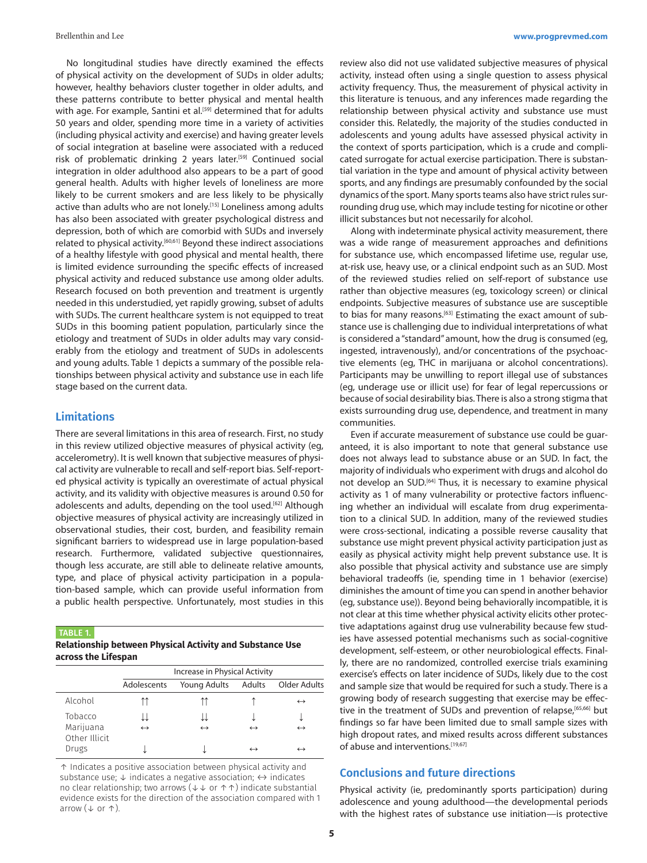No longitudinal studies have directly examined the effects of physical activity on the development of SUDs in older adults; however, healthy behaviors cluster together in older adults, and these patterns contribute to better physical and mental health with age. For example, Santini et al.<sup>[59]</sup> determined that for adults 50 years and older, spending more time in a variety of activities (including physical activity and exercise) and having greater levels of social integration at baseline were associated with a reduced risk of problematic drinking 2 years later.<sup>[59]</sup> Continued social integration in older adulthood also appears to be a part of good general health. Adults with higher levels of loneliness are more likely to be current smokers and are less likely to be physically active than adults who are not lonely.<sup>[15]</sup> Loneliness among adults has also been associated with greater psychological distress and depression, both of which are comorbid with SUDs and inversely related to physical activity.[60,61] Beyond these indirect associations of a healthy lifestyle with good physical and mental health, there is limited evidence surrounding the specific effects of increased physical activity and reduced substance use among older adults. Research focused on both prevention and treatment is urgently needed in this understudied, yet rapidly growing, subset of adults with SUDs. The current healthcare system is not equipped to treat SUDs in this booming patient population, particularly since the etiology and treatment of SUDs in older adults may vary considerably from the etiology and treatment of SUDs in adolescents and young adults. Table 1 depicts a summary of the possible relationships between physical activity and substance use in each life stage based on the current data.

# **Limitations**

There are several limitations in this area of research. First, no study in this review utilized objective measures of physical activity (eg, accelerometry). It is well known that subjective measures of physical activity are vulnerable to recall and self-report bias. Self-reported physical activity is typically an overestimate of actual physical activity, and its validity with objective measures is around 0.50 for adolescents and adults, depending on the tool used.<sup>[62]</sup> Although objective measures of physical activity are increasingly utilized in observational studies, their cost, burden, and feasibility remain significant barriers to widespread use in large population-based research. Furthermore, validated subjective questionnaires, though less accurate, are still able to delineate relative amounts, type, and place of physical activity participation in a population-based sample, which can provide useful information from a public health perspective. Unfortunately, most studies in this

#### TABLE 1.

#### **Relationship between Physical Activity and Substance Use across the Lifespan**

|                        | Increase in Physical Activity |                   |                   |                   |
|------------------------|-------------------------------|-------------------|-------------------|-------------------|
|                        | Adolescents                   | Young Adults      | Adults            | Older Adults      |
| Alcohol                |                               |                   |                   | $\leftrightarrow$ |
| Tobacco<br>Marijuana   | $\leftrightarrow$             | $\leftrightarrow$ | $\leftrightarrow$ | $\leftrightarrow$ |
| Other Illicit<br>Drugs |                               |                   |                   | $\leftrightarrow$ |

↑ Indicates a positive association between physical activity and substance use;  $\downarrow$  indicates a negative association;  $\leftrightarrow$  indicates no clear relationship; two arrows ( $\downarrow \downarrow$  or  $\uparrow \uparrow$ ) indicate substantial evidence exists for the direction of the association compared with 1 arrow  $(\downarrow$  or  $\uparrow$ ).

review also did not use validated subjective measures of physical activity, instead often using a single question to assess physical activity frequency. Thus, the measurement of physical activity in this literature is tenuous, and any inferences made regarding the relationship between physical activity and substance use must consider this. Relatedly, the majority of the studies conducted in adolescents and young adults have assessed physical activity in the context of sports participation, which is a crude and complicated surrogate for actual exercise participation. There is substantial variation in the type and amount of physical activity between sports, and any findings are presumably confounded by the social dynamics of the sport. Many sports teams also have strict rules surrounding drug use, which may include testing for nicotine or other illicit substances but not necessarily for alcohol.

Along with indeterminate physical activity measurement, there was a wide range of measurement approaches and definitions for substance use, which encompassed lifetime use, regular use, at-risk use, heavy use, or a clinical endpoint such as an SUD. Most of the reviewed studies relied on self-report of substance use rather than objective measures (eg, toxicology screen) or clinical endpoints. Subjective measures of substance use are susceptible to bias for many reasons.<sup>[63]</sup> Estimating the exact amount of substance use is challenging due to individual interpretations of what is considered a "standard" amount, how the drug is consumed (eg, ingested, intravenously), and/or concentrations of the psychoactive elements (eg, THC in marijuana or alcohol concentrations). Participants may be unwilling to report illegal use of substances (eg, underage use or illicit use) for fear of legal repercussions or because of social desirability bias. There is also a strong stigma that exists surrounding drug use, dependence, and treatment in many communities.

Even if accurate measurement of substance use could be guaranteed, it is also important to note that general substance use does not always lead to substance abuse or an SUD. In fact, the majority of individuals who experiment with drugs and alcohol do not develop an SUD.<sup>[64]</sup> Thus, it is necessary to examine physical activity as 1 of many vulnerability or protective factors influencing whether an individual will escalate from drug experimentation to a clinical SUD. In addition, many of the reviewed studies were cross-sectional, indicating a possible reverse causality that substance use might prevent physical activity participation just as easily as physical activity might help prevent substance use. It is also possible that physical activity and substance use are simply behavioral tradeoffs (ie, spending time in 1 behavior (exercise) diminishes the amount of time you can spend in another behavior (eg, substance use)). Beyond being behaviorally incompatible, it is not clear at this time whether physical activity elicits other protective adaptations against drug use vulnerability because few studies have assessed potential mechanisms such as social-cognitive development, self-esteem, or other neurobiological effects. Finally, there are no randomized, controlled exercise trials examining exercise's effects on later incidence of SUDs, likely due to the cost and sample size that would be required for such a study. There is a growing body of research suggesting that exercise may be effective in the treatment of SUDs and prevention of relapse,<sup>[65,66]</sup> but findings so far have been limited due to small sample sizes with high dropout rates, and mixed results across different substances of abuse and interventions<sup>[19,67]</sup>

# **Conclusions and future directions**

Physical activity (ie, predominantly sports participation) during adolescence and young adulthood—the developmental periods with the highest rates of substance use initiation—is protective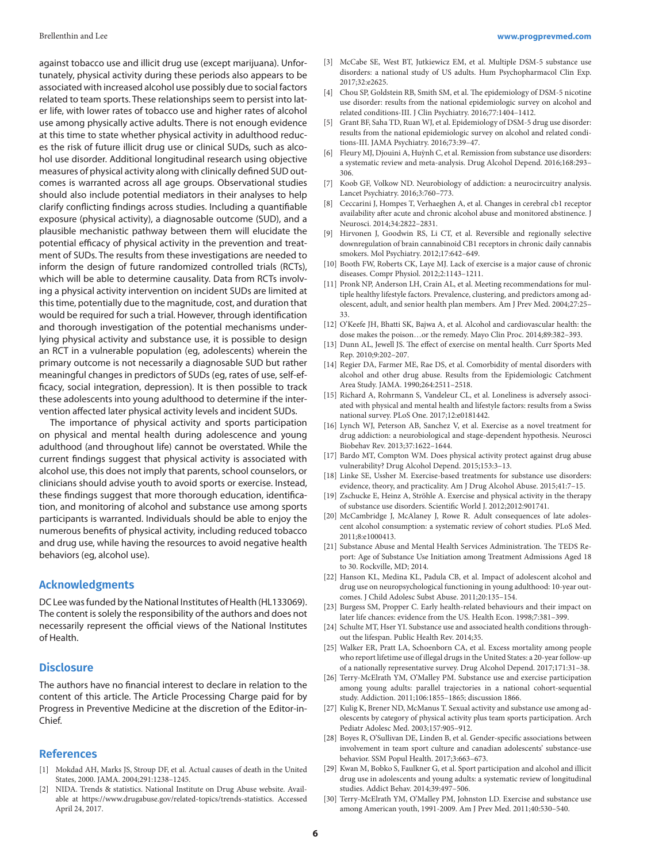against tobacco use and illicit drug use (except marijuana). Unfortunately, physical activity during these periods also appears to be associated with increased alcohol use possibly due to social factors related to team sports. These relationships seem to persist into later life, with lower rates of tobacco use and higher rates of alcohol use among physically active adults. There is not enough evidence at this time to state whether physical activity in adulthood reduces the risk of future illicit drug use or clinical SUDs, such as alcohol use disorder. Additional longitudinal research using objective measures of physical activity along with clinically defined SUD outcomes is warranted across all age groups. Observational studies should also include potential mediators in their analyses to help clarify conflicting findings across studies. Including a quantifiable exposure (physical activity), a diagnosable outcome (SUD), and a plausible mechanistic pathway between them will elucidate the potential efficacy of physical activity in the prevention and treatment of SUDs. The results from these investigations are needed to inform the design of future randomized controlled trials (RCTs), which will be able to determine causality. Data from RCTs involving a physical activity intervention on incident SUDs are limited at this time, potentially due to the magnitude, cost, and duration that would be required for such a trial. However, through identification and thorough investigation of the potential mechanisms underlying physical activity and substance use, it is possible to design an RCT in a vulnerable population (eg, adolescents) wherein the primary outcome is not necessarily a diagnosable SUD but rather meaningful changes in predictors of SUDs (eg, rates of use, self-efficacy, social integration, depression). It is then possible to track these adolescents into young adulthood to determine if the intervention affected later physical activity levels and incident SUDs.

The importance of physical activity and sports participation on physical and mental health during adolescence and young adulthood (and throughout life) cannot be overstated. While the current findings suggest that physical activity is associated with alcohol use, this does not imply that parents, school counselors, or clinicians should advise youth to avoid sports or exercise. Instead, these findings suggest that more thorough education, identification, and monitoring of alcohol and substance use among sports participants is warranted. Individuals should be able to enjoy the numerous benefits of physical activity, including reduced tobacco and drug use, while having the resources to avoid negative health behaviors (eg, alcohol use).

#### **Acknowledgments**

DC Lee was funded by the National Institutes of Health (HL133069). The content is solely the responsibility of the authors and does not necessarily represent the official views of the National Institutes of Health.

### **Disclosure**

The authors have no financial interest to declare in relation to the content of this article. The Article Processing Charge paid for by Progress in Preventive Medicine at the discretion of the Editor-in-Chief.

# **References**

- [1] Mokdad AH, Marks JS, Stroup DF, et al. Actual causes of death in the United States, 2000. JAMA. 2004;291:1238–1245.
- NIDA. Trends & statistics. National Institute on Drug Abuse website. Available at [https://www.drugabuse.gov/related-topics/trends-statistics.](https://www.drugabuse.gov/related-topics/trends-statistics) Accessed April 24, 2017.
- [3] McCabe SE, West BT, Jutkiewicz EM, et al. Multiple DSM-5 substance use disorders: a national study of US adults. Hum Psychopharmacol Clin Exp. 2017;32:e2625.
- [4] Chou SP, Goldstein RB, Smith SM, et al. The epidemiology of DSM-5 nicotine use disorder: results from the national epidemiologic survey on alcohol and related conditions-III. J Clin Psychiatry. 2016;77:1404–1412.
- [5] Grant BF, Saha TD, Ruan WJ, et al. Epidemiology of DSM-5 drug use disorder: results from the national epidemiologic survey on alcohol and related conditions-III. JAMA Psychiatry. 2016;73:39–47.
- [6] Fleury MJ, Djouini A, Huỳnh C, et al. Remission from substance use disorders: a systematic review and meta-analysis. Drug Alcohol Depend. 2016;168:293– 306.
- [7] Koob GF, Volkow ND. Neurobiology of addiction: a neurocircuitry analysis. Lancet Psychiatry. 2016;3:760–773.
- [8] Ceccarini J, Hompes T, Verhaeghen A, et al. Changes in cerebral cb1 receptor availability after acute and chronic alcohol abuse and monitored abstinence. J Neurosci. 2014;34:2822–2831.
- [9] Hirvonen J, Goodwin RS, Li CT, et al. Reversible and regionally selective downregulation of brain cannabinoid CB1 receptors in chronic daily cannabis smokers. Mol Psychiatry. 2012;17:642–649.
- [10] Booth FW, Roberts CK, Laye MJ. Lack of exercise is a major cause of chronic diseases. Compr Physiol. 2012;2:1143–1211.
- [11] Pronk NP, Anderson LH, Crain AL, et al. Meeting recommendations for multiple healthy lifestyle factors. Prevalence, clustering, and predictors among adolescent, adult, and senior health plan members. Am J Prev Med. 2004;27:25– 33.
- [12] O'Keefe JH, Bhatti SK, Bajwa A, et al. Alcohol and cardiovascular health: the dose makes the poison…or the remedy. Mayo Clin Proc. 2014;89:382–393.
- [13] Dunn AL, Jewell JS. The effect of exercise on mental health. Curr Sports Med Rep. 2010;9:202–207.
- [14] Regier DA, Farmer ME, Rae DS, et al. Comorbidity of mental disorders with alcohol and other drug abuse. Results from the Epidemiologic Catchment Area Study. JAMA. 1990;264:2511–2518.
- [15] Richard A, Rohrmann S, Vandeleur CL, et al. Loneliness is adversely associated with physical and mental health and lifestyle factors: results from a Swiss national survey. PLoS One. 2017;12:e0181442.
- [16] Lynch WJ, Peterson AB, Sanchez V, et al. Exercise as a novel treatment for drug addiction: a neurobiological and stage-dependent hypothesis. Neurosci Biobehav Rev. 2013;37:1622–1644.
- [17] Bardo MT, Compton WM. Does physical activity protect against drug abuse vulnerability? Drug Alcohol Depend. 2015;153:3–13.
- [18] Linke SE, Ussher M. Exercise-based treatments for substance use disorders: evidence, theory, and practicality. Am J Drug Alcohol Abuse. 2015;41:7–15.
- [19] Zschucke E, Heinz A, Ströhle A. Exercise and physical activity in the therapy of substance use disorders. Scientific World J. 2012;2012:901741.
- [20] McCambridge J, McAlaney J, Rowe R. Adult consequences of late adolescent alcohol consumption: a systematic review of cohort studies. PLoS Med. 2011;8:e1000413.
- [21] Substance Abuse and Mental Health Services Administration. The TEDS Report: Age of Substance Use Initiation among Treatment Admissions Aged 18 to 30. Rockville, MD; 2014.
- [22] Hanson KL, Medina KL, Padula CB, et al. Impact of adolescent alcohol and drug use on neuropsychological functioning in young adulthood: 10-year outcomes. J Child Adolesc Subst Abuse. 2011;20:135–154.
- [23] Burgess SM, Propper C. Early health-related behaviours and their impact on later life chances: evidence from the US. Health Econ. 1998;7:381–399.
- [24] Schulte MT, Hser YI. Substance use and associated health conditions throughout the lifespan. Public Health Rev. 2014;35.
- [25] Walker ER, Pratt LA, Schoenborn CA, et al. Excess mortality among people who report lifetime use of illegal drugs in the United States: a 20-year follow-up of a nationally representative survey. Drug Alcohol Depend. 2017;171:31–38.
- [26] Terry-McElrath YM, O'Malley PM. Substance use and exercise participation among young adults: parallel trajectories in a national cohort-sequential study. Addiction. 2011;106:1855–1865; discussion 1866.
- [27] Kulig K, Brener ND, McManus T. Sexual activity and substance use among adolescents by category of physical activity plus team sports participation. Arch Pediatr Adolesc Med. 2003;157:905–912.
- [28] Boyes R, O'Sullivan DE, Linden B, et al. Gender-specific associations between involvement in team sport culture and canadian adolescents' substance-use behavior. SSM Popul Health. 2017;3:663–673.
- [29] Kwan M, Bobko S, Faulkner G, et al. Sport participation and alcohol and illicit drug use in adolescents and young adults: a systematic review of longitudinal studies. Addict Behav. 2014;39:497–506.
- [30] Terry-McElrath YM, O'Malley PM, Johnston LD. Exercise and substance use among American youth, 1991-2009. Am J Prev Med. 2011;40:530–540.